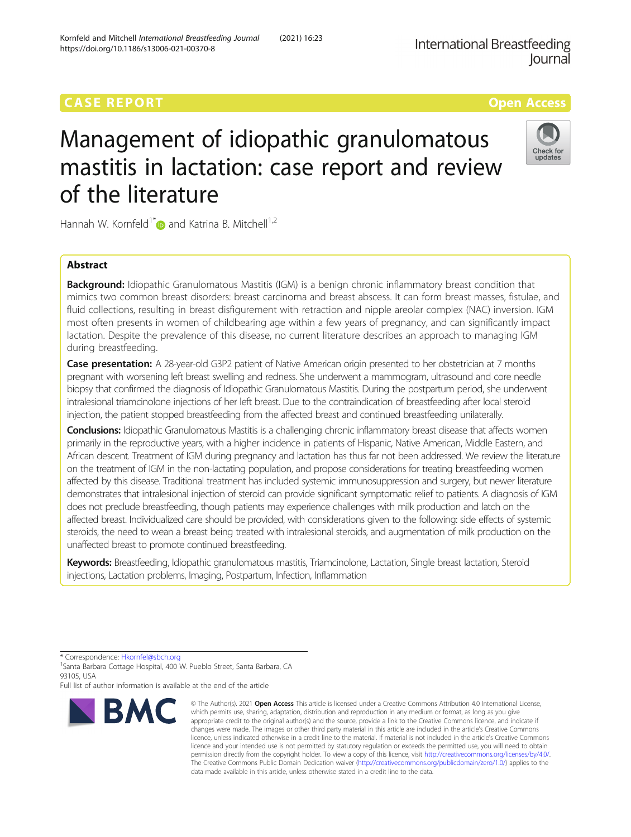# **CASE REPORT CASE REPORT CASE REPORT**

# Management of idiopathic granulomatous mastitis in lactation: case report and review of the literature

Hannah W. Kornfeld<sup>1[\\*](http://orcid.org/0000-0002-8771-6751)</sup> and Katrina B. Mitchell<sup>1,2</sup>

# Abstract

**Background:** Idiopathic Granulomatous Mastitis (IGM) is a benign chronic inflammatory breast condition that mimics two common breast disorders: breast carcinoma and breast abscess. It can form breast masses, fistulae, and fluid collections, resulting in breast disfigurement with retraction and nipple areolar complex (NAC) inversion. IGM most often presents in women of childbearing age within a few years of pregnancy, and can significantly impact lactation. Despite the prevalence of this disease, no current literature describes an approach to managing IGM during breastfeeding.

Case presentation: A 28-year-old G3P2 patient of Native American origin presented to her obstetrician at 7 months pregnant with worsening left breast swelling and redness. She underwent a mammogram, ultrasound and core needle biopsy that confirmed the diagnosis of Idiopathic Granulomatous Mastitis. During the postpartum period, she underwent intralesional triamcinolone injections of her left breast. Due to the contraindication of breastfeeding after local steroid injection, the patient stopped breastfeeding from the affected breast and continued breastfeeding unilaterally.

Conclusions: Idiopathic Granulomatous Mastitis is a challenging chronic inflammatory breast disease that affects women primarily in the reproductive years, with a higher incidence in patients of Hispanic, Native American, Middle Eastern, and African descent. Treatment of IGM during pregnancy and lactation has thus far not been addressed. We review the literature on the treatment of IGM in the non-lactating population, and propose considerations for treating breastfeeding women affected by this disease. Traditional treatment has included systemic immunosuppression and surgery, but newer literature demonstrates that intralesional injection of steroid can provide significant symptomatic relief to patients. A diagnosis of IGM does not preclude breastfeeding, though patients may experience challenges with milk production and latch on the affected breast. Individualized care should be provided, with considerations given to the following: side effects of systemic steroids, the need to wean a breast being treated with intralesional steroids, and augmentation of milk production on the unaffected breast to promote continued breastfeeding.

Keywords: Breastfeeding, Idiopathic granulomatous mastitis, Triamcinolone, Lactation, Single breast lactation, Steroid injections, Lactation problems, Imaging, Postpartum, Infection, Inflammation

\* Correspondence: [Hkornfel@sbch.org](mailto:Hkornfel@sbch.org) <sup>1</sup>

**BMC** 

<sup>1</sup>Santa Barbara Cottage Hospital, 400 W. Pueblo Street, Santa Barbara, CA 93105, USA

Full list of author information is available at the end of the article

which permits use, sharing, adaptation, distribution and reproduction in any medium or format, as long as you give appropriate credit to the original author(s) and the source, provide a link to the Creative Commons licence, and indicate if changes were made. The images or other third party material in this article are included in the article's Creative Commons licence, unless indicated otherwise in a credit line to the material. If material is not included in the article's Creative Commons licence and your intended use is not permitted by statutory regulation or exceeds the permitted use, you will need to obtain permission directly from the copyright holder. To view a copy of this licence, visit [http://creativecommons.org/licenses/by/4.0/.](http://creativecommons.org/licenses/by/4.0/) The Creative Commons Public Domain Dedication waiver [\(http://creativecommons.org/publicdomain/zero/1.0/](http://creativecommons.org/publicdomain/zero/1.0/)) applies to the data made available in this article, unless otherwise stated in a credit line to the data.

© The Author(s), 2021 **Open Access** This article is licensed under a Creative Commons Attribution 4.0 International License,



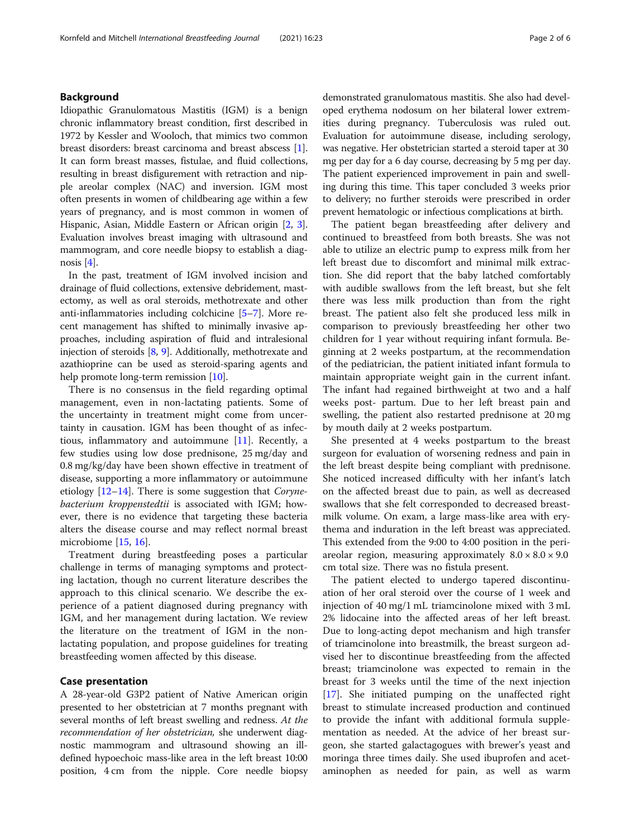# Background

Idiopathic Granulomatous Mastitis (IGM) is a benign chronic inflammatory breast condition, first described in 1972 by Kessler and Wooloch, that mimics two common breast disorders: breast carcinoma and breast abscess [[1](#page-5-0)]. It can form breast masses, fistulae, and fluid collections, resulting in breast disfigurement with retraction and nipple areolar complex (NAC) and inversion. IGM most often presents in women of childbearing age within a few years of pregnancy, and is most common in women of Hispanic, Asian, Middle Eastern or African origin [[2](#page-5-0), [3](#page-5-0)]. Evaluation involves breast imaging with ultrasound and mammogram, and core needle biopsy to establish a diagnosis [[4](#page-5-0)].

In the past, treatment of IGM involved incision and drainage of fluid collections, extensive debridement, mastectomy, as well as oral steroids, methotrexate and other anti-inflammatories including colchicine [\[5](#page-5-0)–[7\]](#page-5-0). More recent management has shifted to minimally invasive approaches, including aspiration of fluid and intralesional injection of steroids [\[8](#page-5-0), [9](#page-5-0)]. Additionally, methotrexate and azathioprine can be used as steroid-sparing agents and help promote long-term remission [\[10\]](#page-5-0).

There is no consensus in the field regarding optimal management, even in non-lactating patients. Some of the uncertainty in treatment might come from uncertainty in causation. IGM has been thought of as infectious, inflammatory and autoimmune [\[11\]](#page-5-0). Recently, a few studies using low dose prednisone, 25 mg/day and 0.8 mg/kg/day have been shown effective in treatment of disease, supporting a more inflammatory or autoimmune etiology  $[12-14]$  $[12-14]$  $[12-14]$ . There is some suggestion that *Coryne*bacterium kroppenstedtii is associated with IGM; however, there is no evidence that targeting these bacteria alters the disease course and may reflect normal breast microbiome [\[15,](#page-5-0) [16\]](#page-5-0).

Treatment during breastfeeding poses a particular challenge in terms of managing symptoms and protecting lactation, though no current literature describes the approach to this clinical scenario. We describe the experience of a patient diagnosed during pregnancy with IGM, and her management during lactation. We review the literature on the treatment of IGM in the nonlactating population, and propose guidelines for treating breastfeeding women affected by this disease.

# Case presentation

A 28-year-old G3P2 patient of Native American origin presented to her obstetrician at 7 months pregnant with several months of left breast swelling and redness. At the recommendation of her obstetrician, she underwent diagnostic mammogram and ultrasound showing an illdefined hypoechoic mass-like area in the left breast 10:00 position, 4 cm from the nipple. Core needle biopsy demonstrated granulomatous mastitis. She also had developed erythema nodosum on her bilateral lower extremities during pregnancy. Tuberculosis was ruled out. Evaluation for autoimmune disease, including serology, was negative. Her obstetrician started a steroid taper at 30 mg per day for a 6 day course, decreasing by 5 mg per day. The patient experienced improvement in pain and swelling during this time. This taper concluded 3 weeks prior to delivery; no further steroids were prescribed in order prevent hematologic or infectious complications at birth.

The patient began breastfeeding after delivery and continued to breastfeed from both breasts. She was not able to utilize an electric pump to express milk from her left breast due to discomfort and minimal milk extraction. She did report that the baby latched comfortably with audible swallows from the left breast, but she felt there was less milk production than from the right breast. The patient also felt she produced less milk in comparison to previously breastfeeding her other two children for 1 year without requiring infant formula. Beginning at 2 weeks postpartum, at the recommendation of the pediatrician, the patient initiated infant formula to maintain appropriate weight gain in the current infant. The infant had regained birthweight at two and a half weeks post- partum. Due to her left breast pain and swelling, the patient also restarted prednisone at 20 mg by mouth daily at 2 weeks postpartum.

She presented at 4 weeks postpartum to the breast surgeon for evaluation of worsening redness and pain in the left breast despite being compliant with prednisone. She noticed increased difficulty with her infant's latch on the affected breast due to pain, as well as decreased swallows that she felt corresponded to decreased breastmilk volume. On exam, a large mass-like area with erythema and induration in the left breast was appreciated. This extended from the 9:00 to 4:00 position in the periareolar region, measuring approximately  $8.0 \times 8.0 \times 9.0$ cm total size. There was no fistula present.

The patient elected to undergo tapered discontinuation of her oral steroid over the course of 1 week and injection of 40 mg/1 mL triamcinolone mixed with 3 mL 2% lidocaine into the affected areas of her left breast. Due to long-acting depot mechanism and high transfer of triamcinolone into breastmilk, the breast surgeon advised her to discontinue breastfeeding from the affected breast; triamcinolone was expected to remain in the breast for 3 weeks until the time of the next injection [[17\]](#page-5-0). She initiated pumping on the unaffected right breast to stimulate increased production and continued to provide the infant with additional formula supplementation as needed. At the advice of her breast surgeon, she started galactagogues with brewer's yeast and moringa three times daily. She used ibuprofen and acetaminophen as needed for pain, as well as warm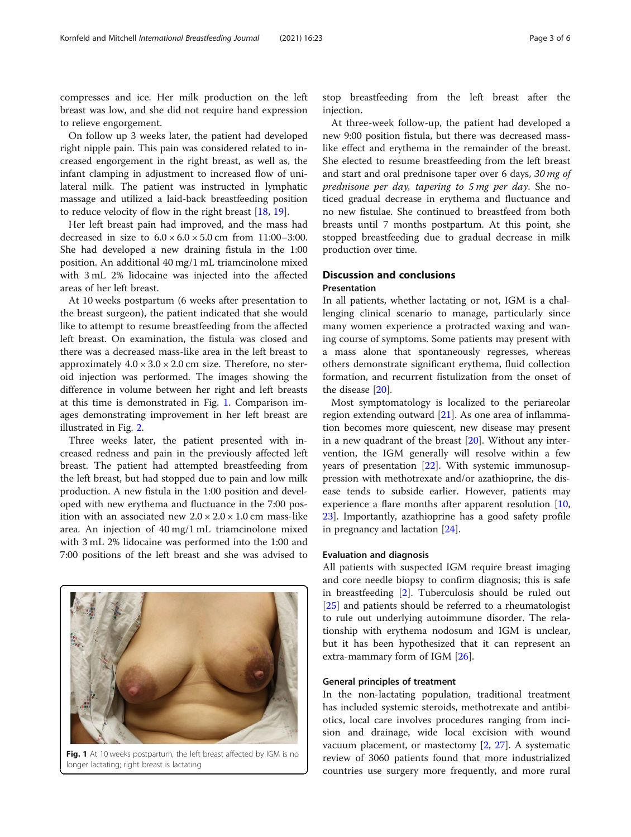compresses and ice. Her milk production on the left breast was low, and she did not require hand expression to relieve engorgement.

On follow up 3 weeks later, the patient had developed right nipple pain. This pain was considered related to increased engorgement in the right breast, as well as, the infant clamping in adjustment to increased flow of unilateral milk. The patient was instructed in lymphatic massage and utilized a laid-back breastfeeding position to reduce velocity of flow in the right breast [\[18](#page-5-0), [19\]](#page-5-0).

Her left breast pain had improved, and the mass had decreased in size to  $6.0 \times 6.0 \times 5.0$  cm from 11:00-3:00. She had developed a new draining fistula in the 1:00 position. An additional 40 mg/1 mL triamcinolone mixed with 3 mL 2% lidocaine was injected into the affected areas of her left breast.

At 10 weeks postpartum (6 weeks after presentation to the breast surgeon), the patient indicated that she would like to attempt to resume breastfeeding from the affected left breast. On examination, the fistula was closed and there was a decreased mass-like area in the left breast to approximately  $4.0 \times 3.0 \times 2.0$  cm size. Therefore, no steroid injection was performed. The images showing the difference in volume between her right and left breasts at this time is demonstrated in Fig. 1. Comparison images demonstrating improvement in her left breast are illustrated in Fig. [2.](#page-3-0)

Three weeks later, the patient presented with increased redness and pain in the previously affected left breast. The patient had attempted breastfeeding from the left breast, but had stopped due to pain and low milk production. A new fistula in the 1:00 position and developed with new erythema and fluctuance in the 7:00 position with an associated new  $2.0 \times 2.0 \times 1.0$  cm mass-like area. An injection of 40 mg/1 mL triamcinolone mixed with 3 mL 2% lidocaine was performed into the 1:00 and 7:00 positions of the left breast and she was advised to stop breastfeeding from the left breast after the injection.

At three-week follow-up, the patient had developed a new 9:00 position fistula, but there was decreased masslike effect and erythema in the remainder of the breast. She elected to resume breastfeeding from the left breast and start and oral prednisone taper over 6 days, 30 mg of prednisone per day, tapering to 5 mg per day. She noticed gradual decrease in erythema and fluctuance and no new fistulae. She continued to breastfeed from both breasts until 7 months postpartum. At this point, she stopped breastfeeding due to gradual decrease in milk production over time.

# Discussion and conclusions Presentation

In all patients, whether lactating or not, IGM is a challenging clinical scenario to manage, particularly since many women experience a protracted waxing and waning course of symptoms. Some patients may present with a mass alone that spontaneously regresses, whereas others demonstrate significant erythema, fluid collection formation, and recurrent fistulization from the onset of the disease [\[20\]](#page-5-0).

Most symptomatology is localized to the periareolar region extending outward  $[21]$  $[21]$ . As one area of inflammation becomes more quiescent, new disease may present in a new quadrant of the breast  $[20]$ . Without any intervention, the IGM generally will resolve within a few years of presentation [\[22](#page-5-0)]. With systemic immunosuppression with methotrexate and/or azathioprine, the disease tends to subside earlier. However, patients may experience a flare months after apparent resolution [[10](#page-5-0), [23\]](#page-5-0). Importantly, azathioprine has a good safety profile in pregnancy and lactation [[24\]](#page-5-0).

# Evaluation and diagnosis

All patients with suspected IGM require breast imaging and core needle biopsy to confirm diagnosis; this is safe in breastfeeding [[2\]](#page-5-0). Tuberculosis should be ruled out [[25\]](#page-5-0) and patients should be referred to a rheumatologist to rule out underlying autoimmune disorder. The relationship with erythema nodosum and IGM is unclear, but it has been hypothesized that it can represent an extra-mammary form of IGM [[26](#page-5-0)].

#### General principles of treatment

In the non-lactating population, traditional treatment has included systemic steroids, methotrexate and antibiotics, local care involves procedures ranging from incision and drainage, wide local excision with wound vacuum placement, or mastectomy [\[2](#page-5-0), [27\]](#page-5-0). A systematic review of 3060 patients found that more industrialized countries use surgery more frequently, and more rural

Fig. 1 At 10 weeks postpartum, the left breast affected by IGM is no longer lactating; right breast is lactating

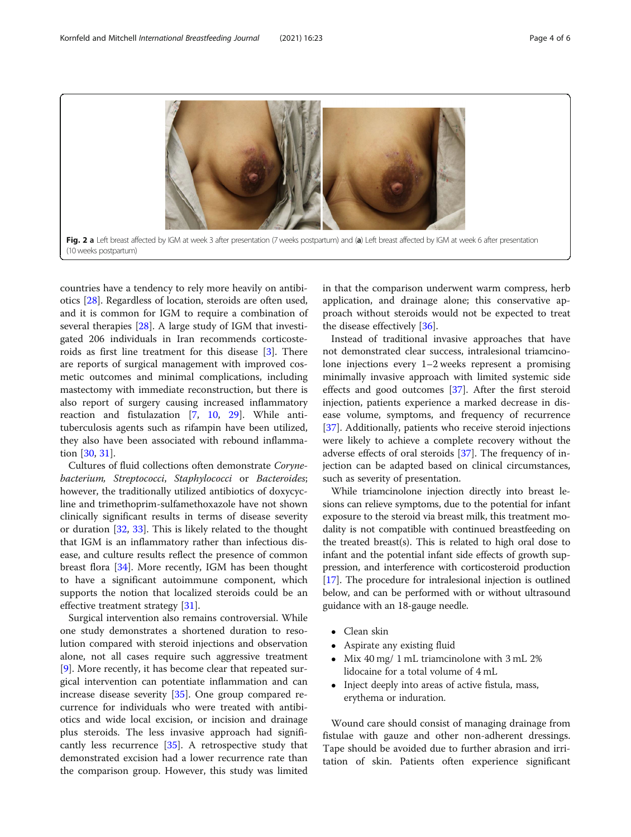<span id="page-3-0"></span>

countries have a tendency to rely more heavily on antibiotics [[28\]](#page-5-0). Regardless of location, steroids are often used, and it is common for IGM to require a combination of several therapies [[28\]](#page-5-0). A large study of IGM that investigated 206 individuals in Iran recommends corticosteroids as first line treatment for this disease [\[3](#page-5-0)]. There are reports of surgical management with improved cosmetic outcomes and minimal complications, including mastectomy with immediate reconstruction, but there is also report of surgery causing increased inflammatory reaction and fistulazation [\[7](#page-5-0), [10,](#page-5-0) [29\]](#page-5-0). While antituberculosis agents such as rifampin have been utilized, they also have been associated with rebound inflammation [\[30,](#page-5-0) [31\]](#page-5-0).

Cultures of fluid collections often demonstrate Corynebacterium, Streptococci, Staphylococci or Bacteroides; however, the traditionally utilized antibiotics of doxycycline and trimethoprim-sulfamethoxazole have not shown clinically significant results in terms of disease severity or duration [\[32,](#page-5-0) [33](#page-5-0)]. This is likely related to the thought that IGM is an inflammatory rather than infectious disease, and culture results reflect the presence of common breast flora [[34\]](#page-5-0). More recently, IGM has been thought to have a significant autoimmune component, which supports the notion that localized steroids could be an effective treatment strategy [[31\]](#page-5-0).

Surgical intervention also remains controversial. While one study demonstrates a shortened duration to resolution compared with steroid injections and observation alone, not all cases require such aggressive treatment [[9\]](#page-5-0). More recently, it has become clear that repeated surgical intervention can potentiate inflammation and can increase disease severity  $[35]$  $[35]$ . One group compared recurrence for individuals who were treated with antibiotics and wide local excision, or incision and drainage plus steroids. The less invasive approach had significantly less recurrence [[35\]](#page-5-0). A retrospective study that demonstrated excision had a lower recurrence rate than the comparison group. However, this study was limited in that the comparison underwent warm compress, herb application, and drainage alone; this conservative approach without steroids would not be expected to treat the disease effectively [[36](#page-5-0)].

Instead of traditional invasive approaches that have not demonstrated clear success, intralesional triamcinolone injections every 1–2 weeks represent a promising minimally invasive approach with limited systemic side effects and good outcomes [[37\]](#page-5-0). After the first steroid injection, patients experience a marked decrease in disease volume, symptoms, and frequency of recurrence [[37\]](#page-5-0). Additionally, patients who receive steroid injections were likely to achieve a complete recovery without the adverse effects of oral steroids [\[37\]](#page-5-0). The frequency of injection can be adapted based on clinical circumstances, such as severity of presentation.

While triamcinolone injection directly into breast lesions can relieve symptoms, due to the potential for infant exposure to the steroid via breast milk, this treatment modality is not compatible with continued breastfeeding on the treated breast(s). This is related to high oral dose to infant and the potential infant side effects of growth suppression, and interference with corticosteroid production [[17](#page-5-0)]. The procedure for intralesional injection is outlined below, and can be performed with or without ultrasound guidance with an 18-gauge needle.

- Clean skin
- Aspirate any existing fluid
- Mix 40 mg/ 1 mL triamcinolone with 3 mL 2% lidocaine for a total volume of 4 mL
- Inject deeply into areas of active fistula, mass, erythema or induration.

Wound care should consist of managing drainage from fistulae with gauze and other non-adherent dressings. Tape should be avoided due to further abrasion and irritation of skin. Patients often experience significant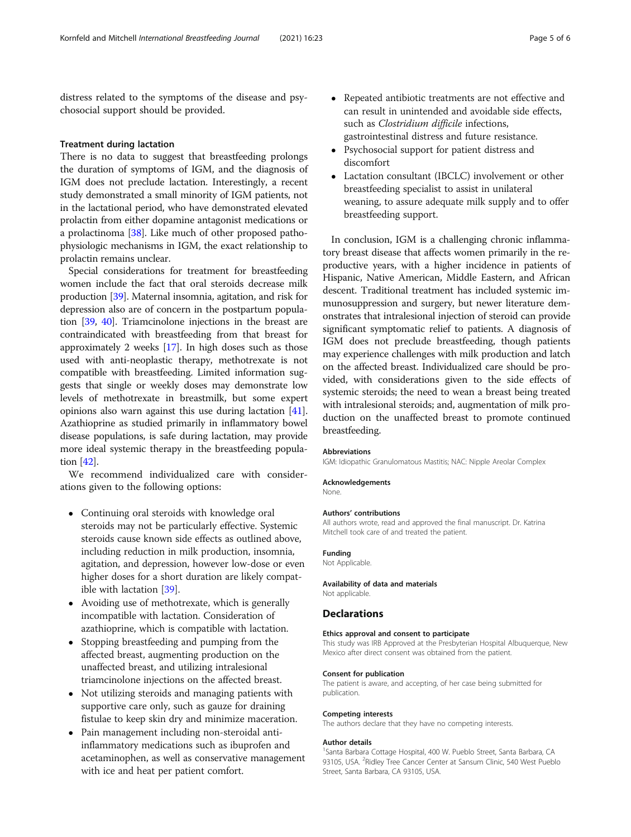distress related to the symptoms of the disease and psychosocial support should be provided.

#### Treatment during lactation

There is no data to suggest that breastfeeding prolongs the duration of symptoms of IGM, and the diagnosis of IGM does not preclude lactation. Interestingly, a recent study demonstrated a small minority of IGM patients, not in the lactational period, who have demonstrated elevated prolactin from either dopamine antagonist medications or a prolactinoma [[38](#page-5-0)]. Like much of other proposed pathophysiologic mechanisms in IGM, the exact relationship to prolactin remains unclear.

Special considerations for treatment for breastfeeding women include the fact that oral steroids decrease milk production [[39](#page-5-0)]. Maternal insomnia, agitation, and risk for depression also are of concern in the postpartum population [\[39,](#page-5-0) [40\]](#page-5-0). Triamcinolone injections in the breast are contraindicated with breastfeeding from that breast for approximately 2 weeks [\[17\]](#page-5-0). In high doses such as those used with anti-neoplastic therapy, methotrexate is not compatible with breastfeeding. Limited information suggests that single or weekly doses may demonstrate low levels of methotrexate in breastmilk, but some expert opinions also warn against this use during lactation [[41](#page-5-0)]. Azathioprine as studied primarily in inflammatory bowel disease populations, is safe during lactation, may provide more ideal systemic therapy in the breastfeeding population [\[42\]](#page-5-0).

We recommend individualized care with considerations given to the following options:

- Continuing oral steroids with knowledge oral steroids may not be particularly effective. Systemic steroids cause known side effects as outlined above, including reduction in milk production, insomnia, agitation, and depression, however low-dose or even higher doses for a short duration are likely compatible with lactation [\[39\]](#page-5-0).
- Avoiding use of methotrexate, which is generally incompatible with lactation. Consideration of azathioprine, which is compatible with lactation.
- Stopping breastfeeding and pumping from the affected breast, augmenting production on the unaffected breast, and utilizing intralesional triamcinolone injections on the affected breast.
- Not utilizing steroids and managing patients with supportive care only, such as gauze for draining fistulae to keep skin dry and minimize maceration.
- Pain management including non-steroidal antiinflammatory medications such as ibuprofen and acetaminophen, as well as conservative management with ice and heat per patient comfort.
- Repeated antibiotic treatments are not effective and can result in unintended and avoidable side effects, such as *Clostridium difficile* infections, gastrointestinal distress and future resistance.
- Psychosocial support for patient distress and discomfort
- Lactation consultant (IBCLC) involvement or other breastfeeding specialist to assist in unilateral weaning, to assure adequate milk supply and to offer breastfeeding support.

In conclusion, IGM is a challenging chronic inflammatory breast disease that affects women primarily in the reproductive years, with a higher incidence in patients of Hispanic, Native American, Middle Eastern, and African descent. Traditional treatment has included systemic immunosuppression and surgery, but newer literature demonstrates that intralesional injection of steroid can provide significant symptomatic relief to patients. A diagnosis of IGM does not preclude breastfeeding, though patients may experience challenges with milk production and latch on the affected breast. Individualized care should be provided, with considerations given to the side effects of systemic steroids; the need to wean a breast being treated with intralesional steroids; and, augmentation of milk production on the unaffected breast to promote continued breastfeeding.

#### Abbreviations

IGM: Idiopathic Granulomatous Mastitis; NAC: Nipple Areolar Complex

#### Acknowledgements

None.

#### Authors' contributions

All authors wrote, read and approved the final manuscript. Dr. Katrina Mitchell took care of and treated the patient.

# Funding

Not Applicable.

# Availability of data and materials

Not applicable.

# **Declarations**

# Ethics approval and consent to participate

This study was IRB Approved at the Presbyterian Hospital Albuquerque, New Mexico after direct consent was obtained from the patient.

#### Consent for publication

The patient is aware, and accepting, of her case being submitted for publication.

#### Competing interests

The authors declare that they have no competing interests.

#### Author details

<sup>1</sup>Santa Barbara Cottage Hospital, 400 W. Pueblo Street, Santa Barbara, CA 93105, USA. <sup>2</sup>Ridley Tree Cancer Center at Sansum Clinic, 540 West Pueblo Street, Santa Barbara, CA 93105, USA.